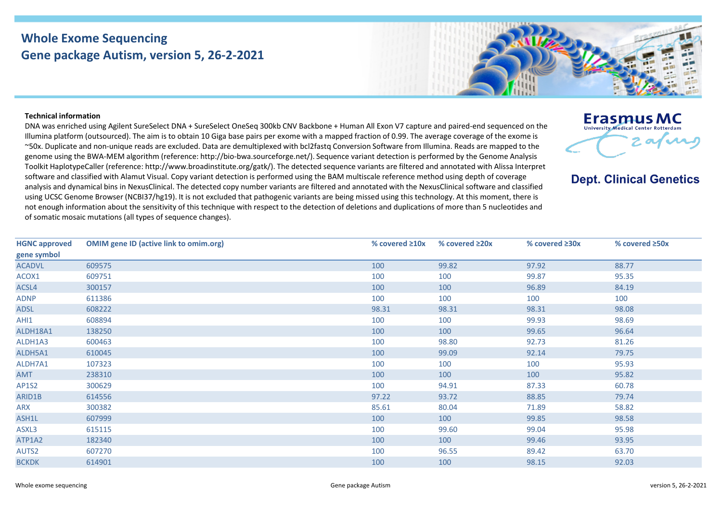## **Whole Exome Sequencing Gene package Autism, version 5, 26-2-2021**

## **Technical information**

DNA was enriched using Agilent SureSelect DNA + SureSelect OneSeq 300kb CNV Backbone + Human All Exon V7 capture and paired-end sequenced on the Illumina platform (outsourced). The aim is to obtain 10 Giga base pairs per exome with a mapped fraction of 0.99. The average coverage of the exome is ~50x. Duplicate and non-unique reads are excluded. Data are demultiplexed with bcl2fastq Conversion Software from Illumina. Reads are mapped to the genome using the BWA-MEM algorithm (reference: http://bio-bwa.sourceforge.net/). Sequence variant detection is performed by the Genome Analysis Toolkit HaplotypeCaller (reference: http://www.broadinstitute.org/gatk/). The detected sequence variants are filtered and annotated with Alissa Interpret software and classified with Alamut Visual. Copy variant detection is performed using the BAM multiscale reference method using depth of coverage analysis and dynamical bins in NexusClinical. The detected copy number variants are filtered and annotated with the NexusClinical software and classified using UCSC Genome Browser (NCBI37/hg19). It is not excluded that pathogenic variants are being missed using this technology. At this moment, there is not enough information about the sensitivity of this technique with respect to the detection of deletions and duplications of more than 5 nucleotides and of somatic mosaic mutations (all types of sequence changes).

**HGNC approved gene symbol OMIM gene ID (active link to omim.org) % covered ≥10x % covered ≥20x % covered ≥30x % covered ≥50x** ACADVL [609575](https://omim.org/entry/609575) 100 99.82 97.92 88.77 ACOX1 [609751](https://omim.org/entry/609751) 100 100 99.87 95.35 ACSL4 [300157](https://omim.org/entry/300157) 100 100 96.89 84.19 ADNP [611386](https://omim.org/entry/611386) 100 100 100 100 ADSL [608222](https://omim.org/entry/608222) 98.31 98.31 98.31 98.08 AHI1 [608894](https://omim.org/entry/608894) 100 100 99.93 98.69 ALDH18A1 [138250](https://omim.org/entry/138250) 100 100 99.65 96.64 ALDH1A3 [600463](https://omim.org/entry/600463) 100 98.80 92.73 81.26 ALDH5A1 [610045](https://omim.org/entry/610045) 100 99.09 92.14 79.75 ALDH7A1 [107323](https://omim.org/entry/107323) 100 100 100 95.93 AMT [238310](https://omim.org/entry/238310) 100 100 100 95.82 AP1S2 [300629](https://omim.org/entry/300629) 100 94.91 87.33 60.78 ARID1B [614556](https://omim.org/entry/614556) 97.22 93.72 88.85 79.74 ARX [300382](https://omim.org/entry/300382) 85.61 80.04 71.89 58.82 ASH1L [607999](https://omim.org/entry/607999) 100 100 99.85 98.58 ASXL3 [615115](https://omim.org/entry/615115) 100 99.60 99.04 95.98 ATP1A2 [182340](https://omim.org/entry/182340) 100 100 99.46 93.95 AUTS2 [607270](https://omim.org/entry/607270) 100 96.55 89.42 63.70 BCKDK [614901](https://omim.org/entry/614901) 100 100 98.15 92.03



**Erasmus MC** University Medical Center Rotterda

**Dept. Clinical Genetics** 

2 av M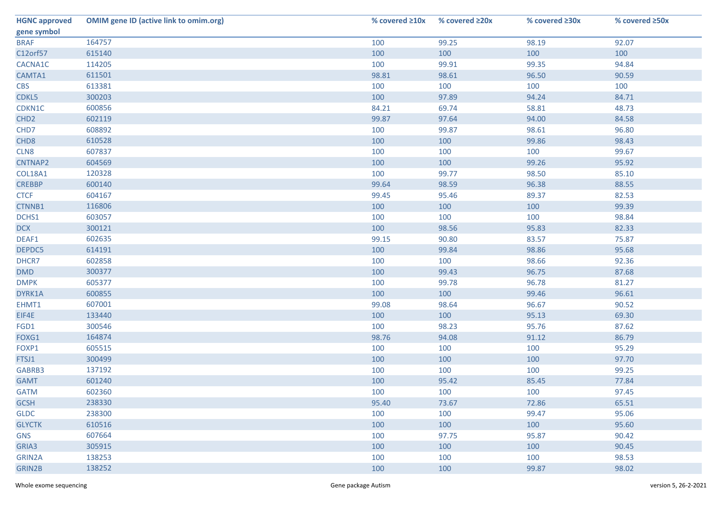| <b>HGNC approved</b> | <b>OMIM gene ID (active link to omim.org)</b> | % covered $\geq 10x$ | % covered ≥20x | % covered ≥30x | % covered ≥50x |
|----------------------|-----------------------------------------------|----------------------|----------------|----------------|----------------|
| gene symbol          |                                               |                      |                |                |                |
| <b>BRAF</b>          | 164757                                        | 100                  | 99.25          | 98.19          | 92.07          |
| C12orf57             | 615140                                        | 100                  | 100            | 100            | 100            |
| CACNA1C              | 114205                                        | 100                  | 99.91          | 99.35          | 94.84          |
| CAMTA1               | 611501                                        | 98.81                | 98.61          | 96.50          | 90.59          |
| <b>CBS</b>           | 613381                                        | 100                  | 100            | 100            | 100            |
| CDKL5                | 300203                                        | 100                  | 97.89          | 94.24          | 84.71          |
| CDKN1C               | 600856                                        | 84.21                | 69.74          | 58.81          | 48.73          |
| CHD <sub>2</sub>     | 602119                                        | 99.87                | 97.64          | 94.00          | 84.58          |
| CHD7                 | 608892                                        | 100                  | 99.87          | 98.61          | 96.80          |
| CHD <sub>8</sub>     | 610528                                        | 100                  | 100            | 99.86          | 98.43          |
| CLN8                 | 607837                                        | 100                  | 100            | 100            | 99.67          |
| CNTNAP2              | 604569                                        | 100                  | 100            | 99.26          | 95.92          |
| COL18A1              | 120328                                        | 100                  | 99.77          | 98.50          | 85.10          |
| <b>CREBBP</b>        | 600140                                        | 99.64                | 98.59          | 96.38          | 88.55          |
| <b>CTCF</b>          | 604167                                        | 99.45                | 95.46          | 89.37          | 82.53          |
| CTNNB1               | 116806                                        | 100                  | 100            | 100            | 99.39          |
| DCHS1                | 603057                                        | 100                  | 100            | 100            | 98.84          |
| <b>DCX</b>           | 300121                                        | 100                  | 98.56          | 95.83          | 82.33          |
| DEAF1                | 602635                                        | 99.15                | 90.80          | 83.57          | 75.87          |
| DEPDC5               | 614191                                        | 100                  | 99.84          | 98.86          | 95.68          |
| DHCR7                | 602858                                        | 100                  | 100            | 98.66          | 92.36          |
| <b>DMD</b>           | 300377                                        | 100                  | 99.43          | 96.75          | 87.68          |
| <b>DMPK</b>          | 605377                                        | 100                  | 99.78          | 96.78          | 81.27          |
| DYRK1A               | 600855                                        | 100                  | 100            | 99.46          | 96.61          |
| EHMT1                | 607001                                        | 99.08                | 98.64          | 96.67          | 90.52          |
| EIF4E                | 133440                                        | 100                  | 100            | 95.13          | 69.30          |
| FGD1                 | 300546                                        | 100                  | 98.23          | 95.76          | 87.62          |
| FOXG1                | 164874                                        | 98.76                | 94.08          | 91.12          | 86.79          |
| FOXP1                | 605515                                        | 100                  | 100            | 100            | 95.29          |
| FTSJ1                | 300499                                        | 100                  | 100            | 100            | 97.70          |
| GABRB3               | 137192                                        | 100                  | 100            | 100            | 99.25          |
| <b>GAMT</b>          | 601240                                        | 100                  | 95.42          | 85.45          | 77.84          |
| <b>GATM</b>          | 602360                                        | 100                  | 100            | 100            | 97.45          |
| <b>GCSH</b>          | 238330                                        | 95.40                | 73.67          | 72.86          | 65.51          |
| <b>GLDC</b>          | 238300                                        | 100                  | 100            | 99.47          | 95.06          |
| <b>GLYCTK</b>        | 610516                                        | 100                  | 100            | 100            | 95.60          |
| <b>GNS</b>           | 607664                                        | 100                  | 97.75          | 95.87          | 90.42          |
| GRIA3                | 305915                                        | 100                  | 100            | 100            | 90.45          |
| GRIN2A               | 138253                                        | 100                  | 100            | 100            | 98.53          |
| <b>GRIN2B</b>        | 138252                                        | 100                  | 100            | 99.87          | 98.02          |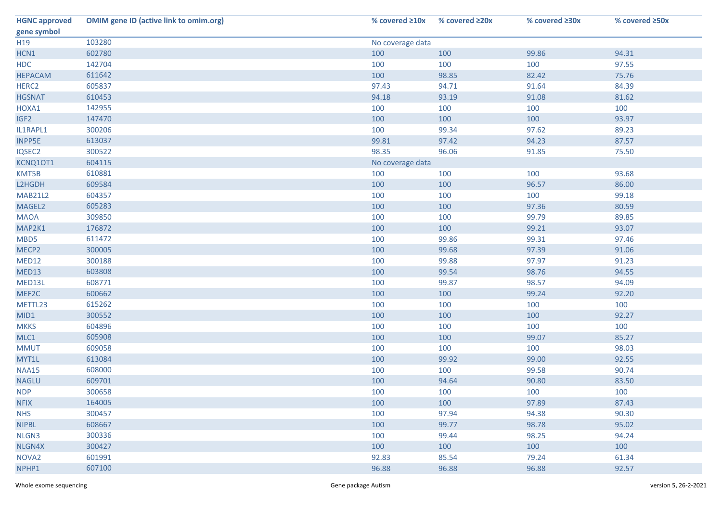| <b>HGNC approved</b> | <b>OMIM gene ID (active link to omim.org)</b> | % covered $\geq 10x$ | % covered ≥20x | % covered $\geq 30x$ | % covered $\geq$ 50x |  |  |
|----------------------|-----------------------------------------------|----------------------|----------------|----------------------|----------------------|--|--|
| gene symbol          |                                               |                      |                |                      |                      |  |  |
| H19                  | 103280                                        | No coverage data     |                |                      |                      |  |  |
| HCN1                 | 602780                                        | 100                  | 100            | 99.86                | 94.31                |  |  |
| <b>HDC</b>           | 142704                                        | 100                  | 100            | 100                  | 97.55                |  |  |
| <b>HEPACAM</b>       | 611642                                        | 100                  | 98.85          | 82.42                | 75.76                |  |  |
| HERC <sub>2</sub>    | 605837                                        | 97.43                | 94.71          | 91.64                | 84.39                |  |  |
| <b>HGSNAT</b>        | 610453                                        | 94.18                | 93.19          | 91.08                | 81.62                |  |  |
| HOXA1                | 142955                                        | 100                  | 100            | 100                  | 100                  |  |  |
| IGF <sub>2</sub>     | 147470                                        | 100                  | 100            | 100                  | 93.97                |  |  |
| IL1RAPL1             | 300206                                        | 100                  | 99.34          | 97.62                | 89.23                |  |  |
| <b>INPP5E</b>        | 613037                                        | 99.81                | 97.42          | 94.23                | 87.57                |  |  |
| IQSEC2               | 300522                                        | 98.35                | 96.06          | 91.85                | 75.50                |  |  |
| KCNQ10T1             | 604115                                        | No coverage data     |                |                      |                      |  |  |
| KMT5B                | 610881                                        | 100                  | 100            | 100                  | 93.68                |  |  |
| L2HGDH               | 609584                                        | 100                  | 100            | 96.57                | 86.00                |  |  |
| <b>MAB21L2</b>       | 604357                                        | 100                  | 100            | 100                  | 99.18                |  |  |
| MAGEL2               | 605283                                        | 100                  | 100            | 97.36                | 80.59                |  |  |
| <b>MAOA</b>          | 309850                                        | 100                  | 100            | 99.79                | 89.85                |  |  |
| MAP2K1               | 176872                                        | 100                  | 100            | 99.21                | 93.07                |  |  |
| MBD5                 | 611472                                        | 100                  | 99.86          | 99.31                | 97.46                |  |  |
| MECP2                | 300005                                        | 100                  | 99.68          | 97.39                | 91.06                |  |  |
| MED12                | 300188                                        | 100                  | 99.88          | 97.97                | 91.23                |  |  |
| MED13                | 603808                                        | 100                  | 99.54          | 98.76                | 94.55                |  |  |
| MED13L               | 608771                                        | 100                  | 99.87          | 98.57                | 94.09                |  |  |
| MEF2C                | 600662                                        | 100                  | 100            | 99.24                | 92.20                |  |  |
| METTL23              | 615262                                        | 100                  | 100            | 100                  | 100                  |  |  |
| MID1                 | 300552                                        | 100                  | 100            | 100                  | 92.27                |  |  |
| <b>MKKS</b>          | 604896                                        | 100                  | 100            | 100                  | 100                  |  |  |
| MLC1                 | 605908                                        | 100                  | 100            | 99.07                | 85.27                |  |  |
| <b>MMUT</b>          | 609058                                        | 100                  | 100            | 100                  | 98.03                |  |  |
| MYT1L                | 613084                                        | 100                  | 99.92          | 99.00                | 92.55                |  |  |
| <b>NAA15</b>         | 608000                                        | 100                  | 100            | 99.58                | 90.74                |  |  |
| <b>NAGLU</b>         | 609701                                        | 100                  | 94.64          | 90.80                | 83.50                |  |  |
| <b>NDP</b>           | 300658                                        | 100                  | 100            | 100                  | 100                  |  |  |
| <b>NFIX</b>          | 164005                                        | 100                  | 100            | 97.89                | 87.43                |  |  |
| <b>NHS</b>           | 300457                                        | 100                  | 97.94          | 94.38                | 90.30                |  |  |
| <b>NIPBL</b>         | 608667                                        | 100                  | 99.77          | 98.78                | 95.02                |  |  |
| NLGN3                | 300336                                        | 100                  | 99.44          | 98.25                | 94.24                |  |  |
| NLGN4X               | 300427                                        | 100                  | 100            | 100                  | 100                  |  |  |
| NOVA <sub>2</sub>    | 601991                                        | 92.83                | 85.54          | 79.24                | 61.34                |  |  |
| NPHP1                | 607100                                        | 96.88                | 96.88          | 96.88                | 92.57                |  |  |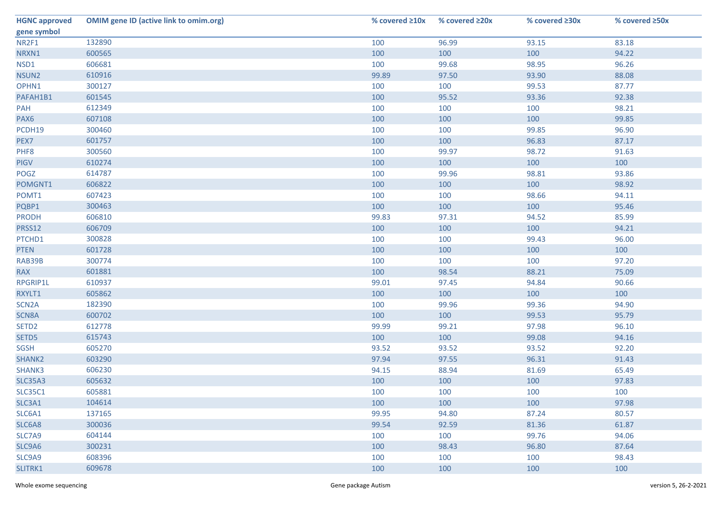| <b>HGNC approved</b> | <b>OMIM gene ID (active link to omim.org)</b> | % covered $\geq 10x$ | % covered $\geq 20x$ | % covered ≥30x | % covered ≥50x |
|----------------------|-----------------------------------------------|----------------------|----------------------|----------------|----------------|
| gene symbol          |                                               |                      |                      |                |                |
| NR2F1                | 132890                                        | 100                  | 96.99                | 93.15          | 83.18          |
| NRXN1                | 600565                                        | 100                  | 100                  | 100            | 94.22          |
| NSD1                 | 606681                                        | 100                  | 99.68                | 98.95          | 96.26          |
| NSUN2                | 610916                                        | 99.89                | 97.50                | 93.90          | 88.08          |
| OPHN1                | 300127                                        | 100                  | 100                  | 99.53          | 87.77          |
| PAFAH1B1             | 601545                                        | 100                  | 95.52                | 93.36          | 92.38          |
| PAH                  | 612349                                        | 100                  | 100                  | 100            | 98.21          |
| PAX6                 | 607108                                        | 100                  | 100                  | 100            | 99.85          |
| PCDH19               | 300460                                        | 100                  | 100                  | 99.85          | 96.90          |
| PEX7                 | 601757                                        | 100                  | 100                  | 96.83          | 87.17          |
| PHF8                 | 300560                                        | 100                  | 99.97                | 98.72          | 91.63          |
| <b>PIGV</b>          | 610274                                        | 100                  | 100                  | 100            | 100            |
| POGZ                 | 614787                                        | 100                  | 99.96                | 98.81          | 93.86          |
| POMGNT1              | 606822                                        | 100                  | 100                  | 100            | 98.92          |
| POMT1                | 607423                                        | 100                  | 100                  | 98.66          | 94.11          |
| PQBP1                | 300463                                        | 100                  | 100                  | 100            | 95.46          |
| <b>PRODH</b>         | 606810                                        | 99.83                | 97.31                | 94.52          | 85.99          |
| PRSS12               | 606709                                        | 100                  | 100                  | 100            | 94.21          |
| PTCHD1               | 300828                                        | 100                  | 100                  | 99.43          | 96.00          |
| <b>PTEN</b>          | 601728                                        | 100                  | 100                  | 100            | 100            |
| RAB39B               | 300774                                        | 100                  | 100                  | 100            | 97.20          |
| <b>RAX</b>           | 601881                                        | 100                  | 98.54                | 88.21          | 75.09          |
| RPGRIP1L             | 610937                                        | 99.01                | 97.45                | 94.84          | 90.66          |
| RXYLT1               | 605862                                        | 100                  | 100                  | 100            | 100            |
| SCN <sub>2</sub> A   | 182390                                        | 100                  | 99.96                | 99.36          | 94.90          |
| SCN8A                | 600702                                        | 100                  | 100                  | 99.53          | 95.79          |
| SETD <sub>2</sub>    | 612778                                        | 99.99                | 99.21                | 97.98          | 96.10          |
| SETD5                | 615743                                        | 100                  | 100                  | 99.08          | 94.16          |
| SGSH                 | 605270                                        | 93.52                | 93.52                | 93.52          | 92.20          |
| SHANK2               | 603290                                        | 97.94                | 97.55                | 96.31          | 91.43          |
| SHANK3               | 606230                                        | 94.15                | 88.94                | 81.69          | 65.49          |
| <b>SLC35A3</b>       | 605632                                        | 100                  | 100                  | 100            | 97.83          |
| <b>SLC35C1</b>       | 605881                                        | 100                  | 100                  | 100            | 100            |
| SLC3A1               | 104614                                        | 100                  | 100                  | 100            | 97.98          |
| SLC6A1               | 137165                                        | 99.95                | 94.80                | 87.24          | 80.57          |
| SLC6A8               | 300036                                        | 99.54                | 92.59                | 81.36          | 61.87          |
| SLC7A9               | 604144                                        | 100                  | 100                  | 99.76          | 94.06          |
| SLC9A6               | 300231                                        | 100                  | 98.43                | 96.80          | 87.64          |
| SLC9A9               | 608396                                        | 100                  | 100                  | 100            | 98.43          |
| SLITRK1              | 609678                                        | 100                  | 100                  | 100            | 100            |